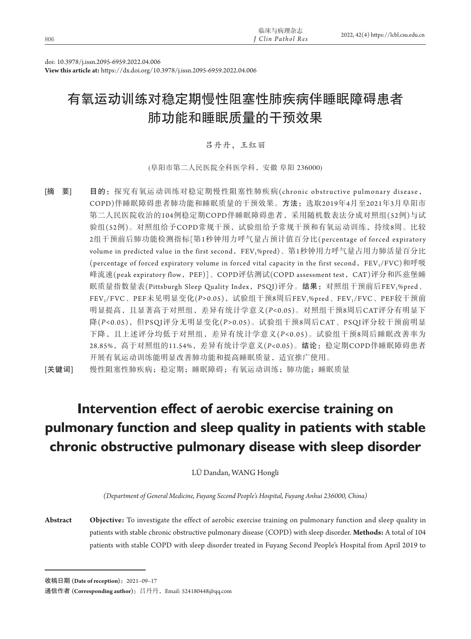|     | 临床与病理杂志                      |                                     |
|-----|------------------------------|-------------------------------------|
| 806 | <sup>I</sup> Clin Pathol Res | 2022, 42(4) https://lcbl.csu.edu.cn |

doi: 10.3978/j.issn.2095-6959.2022.04.006

**View this article at:** https://dx.doi.org/10.3978/j.issn.2095-6959.2022.04.006

# 有氧运动训练对稳定期慢性阻塞性肺疾病伴睡眠障碍患者 肺功能和睡眠质量的干预效果

吕丹丹,王红丽

(阜阳市第二人民医院全科医学科,安徽 阜阳 236000)

[摘 要] 目的: 探究有氧运动训练对稳定期慢性阻塞性肺疾病(chronic obstructive pulmonary disease, COPD)伴睡眠障碍患者肺功能和睡眠质量的干预效果。方法:选取2019年4月至2021年3月阜阳市 第二人民医院收治的104例稳定期COPD伴睡眠障碍患者,采用随机数表法分成对照组(52例)与试 验组(52例)。对照组给予COPD常规干预,试验组给予常规干预和有氧运动训练,持续8周。比较 2组干预前后肺功能检测指标[第1秒钟用力呼气量占预计值百分比(percentage of forced expiratory volume in predicted value in the first second, FEV1%pred)、第1秒钟用力呼气量占用力肺活量百分比 (percentage of forced expiratory volume in forced vital capacity in the first second, FEV<sub>1</sub>/FVC)和呼吸 峰流速(peak expiratory flow,PEF)]、COPD评估测试(COPD assessment test,CAT)评分和匹兹堡睡 眠质量指数量表(Pittsburgh Sleep Quality Index, PSQI)评分。结果: 对照组干预前后FEV1%pred、 FEV<sub>1</sub>/FVC、PEF未见明显变化(P>0.05),试验组干预8周后FEV<sub>1</sub>%pred、FEV<sub>1</sub>/FVC、PEF较干预前 明显提高,且显著高于对照组,差异有统计学意义(*P<*0.05)。对照组干预8周后CAT评分有明显下 降(*P<*0.05),但PSQI评分无明显变化(*P>*0.05)。试验组干预8周后CAT、PSQI评分较干预前明显 下降,且上述评分均低于对照组,差异有统计学意义(*P<*0.05)。试验组干预8周后睡眠改善率为 28.85%,高于对照组的11.54%,差异有统计学意义(*P<*0.05)。结论:稳定期COPD伴睡眠障碍患者 开展有氧运动训练能明显改善肺功能和提高睡眠质量,适宜推广使用。

[关键词] 慢性阻塞性肺疾病;稳定期;睡眠障碍;有氧运动训练;肺功能;睡眠质量

# **Intervention effect of aerobic exercise training on pulmonary function and sleep quality in patients with stable chronic obstructive pulmonary disease with sleep disorder**

LÜ Dandan, WANG Hongli

*(Department of General Medicine, Fuyang Second People's Hospital, Fuyang Anhui 236000, China)*

**Abstract Objective:** To investigate the effect of aerobic exercise training on pulmonary function and sleep quality in patients with stable chronic obstructive pulmonary disease (COPD) with sleep disorder. **Methods:** A total of 104 patients with stable COPD with sleep disorder treated in Fuyang Second People's Hospital from April 2019 to

收稿日期 **(Date of reception)**:2021–09–17

通信作者 **(Corresponding author)**:吕丹丹,Email: 524180448@qq.com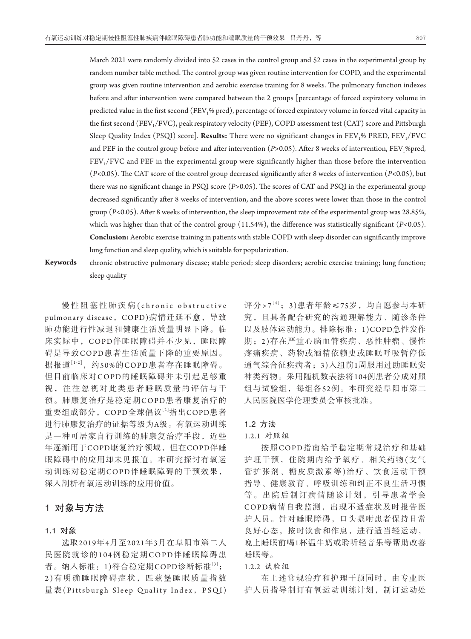March 2021 were randomly divided into 52 cases in the control group and 52 cases in the experimental group by random number table method. The control group was given routine intervention for COPD, and the experimental group was given routine intervention and aerobic exercise training for 8 weeks. The pulmonary function indexes before and after intervention were compared between the 2 groups [percentage of forced expiratory volume in predicted value in the first second (FEV<sub>1</sub>% pred), percentage of forced expiratory volume in forced vital capacity in the first second (FEV<sub>1</sub>/FVC), peak respiratory velocity (PEF), COPD assessment test (CAT) score and Pittsburgh Sleep Quality Index (PSQI) score]. **Results:** There were no significant changes in FEV<sub>1</sub>% PRED, FEV<sub>1</sub>/FVC and PEF in the control group before and after intervention (*P*>0.05). After 8 weeks of intervention, FEV,%pred, FEV<sub>1</sub>/FVC and PEF in the experimental group were significantly higher than those before the intervention (*P<*0.05). The CAT score of the control group decreased significantly after 8 weeks of intervention (*P<*0.05), but there was no significant change in PSQI score (*P>*0.05). The scores of CAT and PSQI in the experimental group decreased significantly after 8 weeks of intervention, and the above scores were lower than those in the control group (*P<*0.05). After 8 weeks of intervention, the sleep improvement rate of the experimental group was 28.85%, which was higher than that of the control group (11.54%), the difference was statistically significant (*P<*0.05). **Conclusion:** Aerobic exercise training in patients with stable COPD with sleep disorder can significantly improve lung function and sleep quality, which is suitable for popularization.

**Keywords** chronic obstructive pulmonary disease; stable period; sleep disorders; aerobic exercise training; lung function;

sleep quality

慢性阻塞性肺疾病 (chronic obstructive pulmonary disease, COPD)病情迁延不愈, 导致 肺功能进行性减退和健康生活质量明显下降。临 床实际中,COPD伴睡眠障碍并不少见,睡眠障 碍是导致COPD患者生活质量下降的重要原因。 据报道[1-2], 约50%的COPD患者存在睡眠障碍。 但目前临床对COPD的睡眠障碍并未引起足够重 视,往往忽视对此类患者睡眠质量的评估与干 预。肺康复治疗是稳定期COPD患者康复治疗的 重要组成部分, COPD全球倡议[2]指出COPD患者 进行肺康复治疗的证据等级为A级。有氧运动训练 是一种可居家自行训练的肺康复治疗手段,近些 年逐渐用于COPD康复治疗领域,但在COPD伴睡 眠障碍中的应用却未见报道。本研究探讨有氧运 动训练对稳定期COPD伴睡眠障碍的干预效果, 深入剖析有氧运动训练的应用价值。

## 1对象与方法

#### 1**.**1对象

选取2019年4月至2021年3月在阜阳市第二人 民医院就诊的104例稳定期COPD伴睡眠障碍患 者。纳入标准: 1)符合稳定期COPD诊断标准[3]; 2 )有明确睡眠障碍症状,匹兹堡睡眠质量指数 量表(Pittsburgh Sleep Quality Index, PSQI) 评分> $7^{[4]}$ ; 3)患者年龄≤75岁, 均自愿参与本研 究,且具备配合研究的沟通理解能力、随诊条件 以及肢体运动能力。排除标准:1)COPD急性发作 期;2 )存在严重心脑血管疾病、恶性肿瘤、慢性 疼痛疾病、药物或酒精依赖史或睡眠呼吸暂停低 通气综合征疾病者;3)入组前1周服用过助睡眠安 神类药物。采用随机数表法将104例患者分成对照 组与试验组,每组各52例。本研究经阜阳市第二 人民医院医学伦理委员会审核批准。

## 1**.**2方法

1.2.1 对照组

按照COPD指南给予稳定期常规治疗和基础 护理干预,住院期内给予氧疗、相关药物(支气 管扩张剂、糖皮质激素等)治疗、饮食运动干预 指导、健康教育、呼吸训练和纠正不良生活习惯 等。出院后制订病情随诊计划,引导患者学会 COPD病情自我监测,出现不适症状及时报告医 护人员。针对睡眠障碍,口头嘱咐患者保持日常 良好心态,按时饮食和作息,进行适当轻运动, 晚上睡眠前喝1杯温牛奶或聆听轻音乐等帮助改善 睡眠等。

1.2.2 试验组

在上述常规治疗和护理干预同时,由专业医 护人员指导制订有氧运动训练计划,制订运动处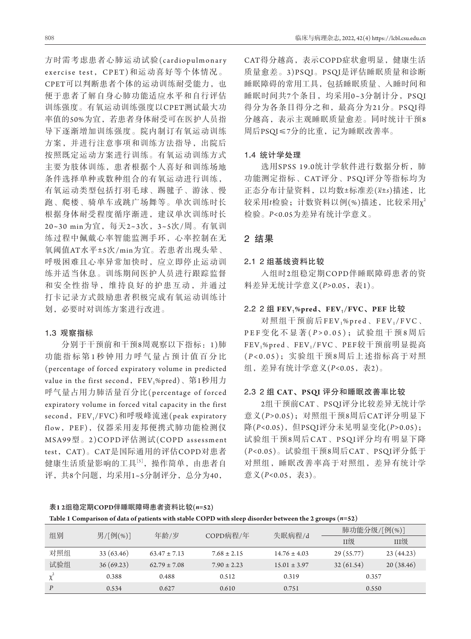方时需考虑患者心肺运动试验(cardiopulmonary exercise test,CPET)和运动喜好等个体情况。 CPET可以判断患者个体的运动训练耐受能力,也 便于患者了解自身心肺功能适应水平和自行评估 训练强度。有氧运动训练强度以CPET测试最大功 率值的50%为宜,若患者身体耐受可在医护人员指 导下逐渐增加训练强度。院内制订有氧运动训练 方案,并进行注意事项和训练方法指导,出院后 按照既定运动方案进行训练。有氧运动训练方式 主要为肢体训练,患者根据个人喜好和训练场地 条件选择单种或数种组合的有氧运动进行训练, 有氧运动类型包括打羽毛球、踢毽子、游泳、慢 跑、爬楼、骑单车或跳广场舞等。单次训练时长 根据身体耐受程度循序渐进,建议单次训练时长 20~30 min为宜,每天2~3次,3~5次/周。有氧训 练过程中佩戴心率智能监测手环,心率控制在无 氧阈值AT水平±5次/min为宜。若患者出现头晕、 呼吸困难且心率异常加快时,应立即停止运动训 练并适当休息。训练期间医护人员进行跟踪监督 和安全性指导,维持良好的护患互动,并通过 打卡记录方式鼓励患者积极完成有氧运动训练计 划,必要时对训练方案进行改进。

## 1**.**3观察指标

分别于干预前和干预8周观察以下指标:1)肺 功能指标第1秒钟用力呼气量占预计值百分比 (percentage of forced expiratory volume in predicted value in the first second, FEV<sub>1</sub>%pred)、第1秒用力 呼气量占用力肺活量百分比(percentage of forced expiratory volume in forced vital capacity in the first second, FEV<sub>1</sub>/FVC)和呼吸峰流速(peak expiratory flow,PEF),仪器采用麦邦便携式肺功能检测仪 MSA99型。2)COPD评估测试(COPD assessment test,CAT)。CAT是国际通用的评估COPD对患者 健康生活质量影响的工具[5],操作简单,由患者自 评,共8个问题,均采用1~5分制评分,总分为40,

CAT得分越高,表示COPD症状愈明显,健康生活 质量愈差。3)PSQI。PSQI是评估睡眠质量和诊断 睡眠障碍的常用工具,包括睡眠质量、入睡时间和 睡眠时间共7个条目,均采用0~3分制计分, PSQI 得分为各条目得分之和,最高分为21分。PSQI得 分越高,表示主观睡眠质量愈差。同时统计干预8 周后PSQI≤7分的比重,记为睡眠改善率。

## 1**.**4统计学处理

选用SPSS 19.0统计学软件进行数据分析, 肺 功能测定指标、CAT评分、PSQI评分等指标均为 正态分布计量资料,以均数±标准差(*x*±*s*)描述,比 较采用*t*检验;计数资料以例(%)描述,比较采用χ<sup>2</sup> 检验。*P<*0.05为差异有统计学意义。

## 2结果

#### 2**.**12 组基线资料比较

入组时2组稳定期COPD伴睡眠障碍患者的资 料差异无统计学意义(*P>*0.05,表1)。

## 2**.**22 组 **FEV**1**%pred**、**FEV**1**/FVC**、**PEF** 比较

对照组干预前后FEV<sub>1</sub>%pred、FEV<sub>1</sub>/FVC、 PEF 变 化 不 显 著 (P > 0.05); 试 验 组 干 预 8 周 后 FEV1%pred、FEV1/FVC、PEF较干预前明显提高 (*P <*0.05);实验组干预8周后上述指标高于对照 组,差异有统计学意义(*P<*0.05,表2)。

### 2**.**32 组 **CAT**、**PSQI** 评分和睡眠改善率比较

2组干预前CAT、PSQI评分比较差异无统计学 意义(*P>*0.05);对照组干预8周后CAT评分明显下 降(*P<*0.05),但PSQI评分未见明显变化(*P>*0.05); 试验组干预8周后CAT、PSQI评分均有明显下降 (*P<*0.05)。试验组干预8周后CAT、PSQI评分低于 对照组,睡眠改善率高于对照组,差异有统计学 意义( $P < 0.05$ , 表3)。

| 表1 2组稳定期COPD伴睡眠障碍患者资料比较(n=52) |  |
|-------------------------------|--|
|-------------------------------|--|

| Table 1 Comparison of data of patients with stable COPD with sleep disorder between the 2 groups $(n=52)$ |  |  |
|-----------------------------------------------------------------------------------------------------------|--|--|
|-----------------------------------------------------------------------------------------------------------|--|--|

| 组别<br>男/[例(%)]   |           | 年龄/岁             | COPD病程/年        | 失眠病程/d           | 肺功能分级/[例(%)] |           |
|------------------|-----------|------------------|-----------------|------------------|--------------|-----------|
|                  |           |                  |                 |                  | II级          | III级      |
| 对照组              | 33(63.46) | $63.47 \pm 7.13$ | $7.68 \pm 2.15$ | $14.76 \pm 4.03$ | 29 (55.77)   | 23(44.23) |
| 试验组              | 36(69.23) | $62.79 \pm 7.08$ | $7.90 \pm 2.23$ | $15.01 \pm 3.97$ | 32(61.54)    | 20(38.46) |
|                  | 0.388     | 0.488            | 0.512           | 0.319            | 0.357        |           |
| $\boldsymbol{P}$ | 0.534     | 0.627            | 0.610           | 0.751            | 0.550        |           |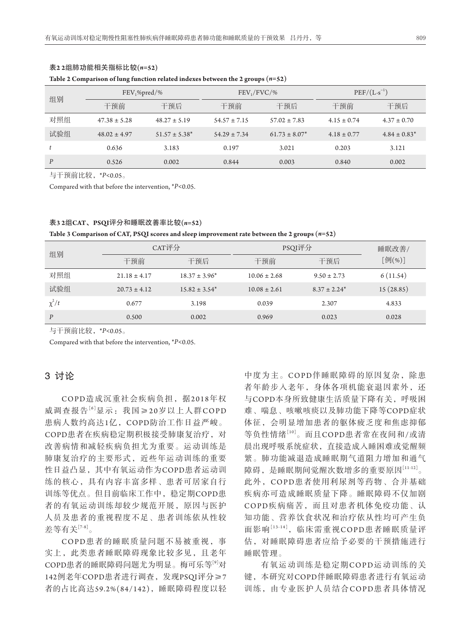| 组别               | $FEV_1\% pred/\%$ |                    | $FEV_1/FVC/$ %   |                    | $PEF/(L \cdot s^{-1})$ |                   |
|------------------|-------------------|--------------------|------------------|--------------------|------------------------|-------------------|
|                  | 干预前               | 干预后                | 干预前              | 干预后                | 干预前                    | 干预后               |
| 对照组              | $47.38 \pm 5.28$  | $48.27 \pm 5.19$   | $54.57 \pm 7.15$ | $57.02 \pm 7.83$   | $4.15 \pm 0.74$        | $4.37 \pm 0.70$   |
| 试验组              | $48.02 \pm 4.97$  | $51.57 \pm 5.38^*$ | $54.29 \pm 7.34$ | $61.73 \pm 8.07^*$ | $4.18 \pm 0.77$        | $4.84 \pm 0.83^*$ |
|                  | 0.636             | 3.183              | 0.197            | 3.021              | 0.203                  | 3.121             |
| $\boldsymbol{p}$ | 0.526             | 0.002              | 0.844            | 0.003              | 0.840                  | 0.002             |

## 表**2 2**组肺功能相关指标比较**(***n=***52)**

#### **Table 2 Comparison of lung function related indexes between the 2 groups (***n=***52)**

与干预前比较,\**P<*0.05。

Compared with that before the intervention, \**P<*0.05.

#### 表**3 2**组**CAT**、**PSQI**评分和睡眠改善率比较**(***n=***52)**

**Table 3 Comparison of CAT, PSQI scores and sleep improvement rate between the 2 groups (***n=***52)**

| 组别               | CAT评分            |                    | PSQI评分           |                   | 睡眠改善/     |  |
|------------------|------------------|--------------------|------------------|-------------------|-----------|--|
|                  | 干预前              | 干预后                | 干预前              | 干预后               | [例(%)]    |  |
| 对照组              | $21.18 \pm 4.17$ | $18.37 \pm 3.96^*$ | $10.06 \pm 2.68$ | $9.50 \pm 2.73$   | 6(11.54)  |  |
| 试验组              | $20.73 \pm 4.12$ | $15.82 \pm 3.54^*$ | $10.08 \pm 2.61$ | $8.37 \pm 2.24^*$ | 15(28.85) |  |
| $\chi^2/t$       | 0.677            | 3.198              | 0.039            | 2.307             | 4.833     |  |
| $\boldsymbol{P}$ | 0.500            | 0.002              | 0.969            | 0.023             | 0.028     |  |

与干预前比较,\**P<*0.05。

Compared with that before the intervention, \**P<*0.05.

## 3讨论

COPD造成沉重社会疾病负担,据2018年权 威调查报告<sup>[6]</sup>显示: 我国≥20岁以上人群COPD 患病人数约高达1亿,COPD防治工作日益严峻。 COPD患者在疾病稳定期积极接受肺康复治疗,对 改善病情和减轻疾病负担尤为重要。运动训练是 肺康复治疗的主要形式,近些年运动训练的重要 性日益凸显,其中有氧运动作为COPD患者运动训 练的核心,具有内容丰富多样、患者可居家自行 训练等优点。但目前临床工作中,稳定期COPD患 者的有氧运动训练却较少规范开展,原因与医护 人员及患者的重视程度不足、患者训练依从性较 差等有关[7-8]。

COPD患者的睡眠质量问题不易被重视,事 实上,此类患者睡眠障碍现象比较多见,且老年 COPD患者的睡眠障碍问题尤为明显。梅可乐等[9]对 142例老年COPD患者进行调查,发现PSQI评分≥7 者的占比高达59.2%(84/142),睡眠障碍程度以轻

中度为主。COPD伴睡眠障碍的原因复杂,除患 者年龄步入老年,身体各项机能衰退因素外,还 与COPD本身所致健康生活质量下降有关,呼吸困 难、喘息、咳嗽咳痰以及肺功能下降等COPD症状 体征,会明显增加患者的躯体疲乏度和焦虑抑郁 等负性情绪[10]。而且COPD患者常在夜间和/或清 晨出现呼吸系统症状,直接造成入睡困难或觉醒频 繁。肺功能减退造成睡眠期气道阻力增加和通气 障碍,是睡眠期间觉醒次数增多的重要原因[11-12]。 此外,COPD患者使用利尿剂等药物、合并基础 疾病亦可造成睡眠质量下降。睡眠障碍不仅加剧 COPD疾病痛苦,而且对患者机体免疫功能、认 知功能、营养饮食状况和治疗依从性均可产生负 面影响[13-14],临床需重视COPD患者睡眠质量评 估,对睡眠障碍患者应给予必要的干预措施进行 睡眠管理。

有氧运动训练是稳定期COPD运动训练的关 键,本研究对COPD伴睡眠障碍患者进行有氧运动 训练,由专业医护人员结合COPD患者具体情况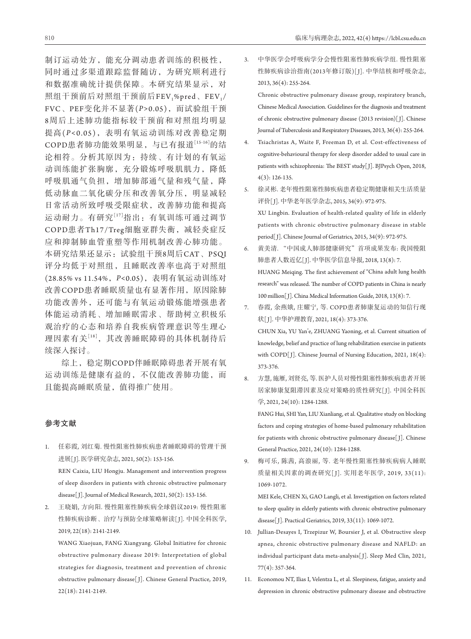制订运动处方,能充分调动患者训练的积极性, 同时通过多渠道跟踪监督随访,为研究顺利进行 和数据准确统计提供保障。本研究结果显示,对 照组干预前后对照组干预前后FEV1%pred、FEV1/ FVC、PEF变化并不显著(*P>*0.05),而试验组干预 8周后上述肺功能指标较干预前和对照组均明显 提高(P<0.05), 表明有氧运动训练对改善稳定期 COPD患者肺功能效果明显,与已有报道[15-16]的结 论相符。分析其原因为:持续、有计划的有氧运 动训练能扩张胸廓,充分锻炼呼吸肌肌力,降低 呼吸肌通气负担,增加肺部通气量和残气量,降 低动脉血二氧化碳分压和改善氧分压,明显减轻 日常活动所致呼吸受限症状,改善肺功能和提高 运动耐力。有研究[17]指出:有氧训练可通过调节 COPD患者Th17/Treg细胞亚群失衡,减轻炎症反 应和抑制肺血管重塑等作用机制改善心肺功能。 本研究结果还显示:试验组干预8周后CAT、PSQI 评分均低于对照组,且睡眠改善率也高于对照组 (28.85% vs 11.54%,*P<*0.05),表明有氧运动训练对 改善COPD患者睡眠质量也有显著作用,原因除肺 功能改善外,还可能与有氧运动锻炼能增强患者 体能运动消耗、增加睡眠需求、帮助树立积极乐 观治疗的心态和培养自我疾病管理意识等生理心 理因素有关[18],其改善睡眠障碍的具体机制待后 续深入探讨。

综上,稳定期COPD伴睡眠障碍患者开展有氧 运动训练是健康有益的,不仅能改善肺功能,而 且能提高睡眠质量,值得推广使用。

## 参考文献

- 1. 任彩霞, 刘红菊. 慢性阻塞性肺疾病患者睡眠障碍的管理干预 进展[ J]. 医学研究杂志, 2021, 50(2): 153-156. REN Caixia, LIU Hongju. Management and intervention progress of sleep disorders in patients with chronic obstructive pulmonary disease[ J]. Journal of Medical Research, 2021, 50(2): 153-156.
- 2. 王晓娟, 方向阳. 慢性阻塞性肺疾病全球倡议2019: 慢性阻塞 性肺疾病诊断、治疗与预防全球策略解读[J]. 中国全科医学, 2019, 22(18): 2141-2149.

 WANG Xiaojuan, FANG Xiangyang. Global Initiative for chronic obstructive pulmonary disease 2019: Interpretation of global strategies for diagnosis, treatment and prevention of chronic obstructive pulmonary disease[ J]. Chinese General Practice, 2019, 22(18): 2141-2149.

3. 中华医学会呼吸病学分会慢性阻塞性肺疾病学组. 慢性阻塞 性肺疾病诊治指南(2013年修订版)[J]. 中华结核和呼吸杂志, 2013, 36(4): 255-264.

 Chronic obstructive pulmonary disease group, respiratory branch, Chinese Medical Association. Guidelines for the diagnosis and treatment of chronic obstructive pulmonary disease (2013 revision)[ J]. Chinese Journal of Tuberculosis and Respiratory Diseases, 2013, 36(4): 255-264.

- 4. Tsiachristas A, Waite F, Freeman D, et al. Cost-effectiveness of cognitive-behavioural therapy for sleep disorder added to usual care in patients with schizophrenia: The BEST study[ J]. BJPsych Open, 2018, 4(3): 126-135.
- 5. 徐灵彬. 老年慢性阻塞性肺疾病患者稳定期健康相关生活质量 评价[ J]. 中华老年医学杂志, 2015, 34(9): 972-975. XU Lingbin. Evaluation of health-related quality of life in elderly patients with chronic obstructive pulmonary disease in stable period[J]. Chinese Journal of Geriatrics, 2015, 34(9): 972-975.
- 6. 黄美清. "中国成人肺部健康研究"首项成果发布: 我国慢阻 肺患者人数近亿[J]. 中华医学信息导报, 2018, 13(8): 7. HUANG Meiqing. The first achievement of "China adult lung health research" was released. The number of COPD patients in China is nearly 100 million[ J]. China Medical Information Guide, 2018, 13(8): 7.
- 7. 春霞, 余燕娥, 庄耀宁, 等. COPD患者肺康复运动的知信行现 状[ J]. 中华护理教育, 2021, 18(4): 373-376. CHUN Xia, YU Yan'e, ZHUANG Yaoning, et al. Current situation of knowledge, belief and practice of lung rehabilitation exercise in patients with COPD[J]. Chinese Journal of Nursing Education, 2021, 18(4): 373-376.
- 8. 方慧, 施雁, 刘贤亮, 等. 医护人员对慢性阻塞性肺疾病患者开展 居家肺康复阻滞因素及应对策略的质性研究[ J]. 中国全科医 学, 2021, 24(10): 1284-1288.

 FANG Hui, SHI Yan, LIU Xianliang, et al. Qualitative study on blocking factors and coping strategies of home-based pulmonary rehabilitation for patients with chronic obstructive pulmonary disease[J]. Chinese General Practice, 2021, 24(10): 1284-1288.

9. 梅可乐, 陈茜, 高浪丽, 等. 老年慢性阻塞性肺疾病病人睡眠 质量相关因素的调查研究[ J]. 实用老年医学, 2019, 33(11): 1069-1072.

 MEI Kele, CHEN Xi, GAO Langli, et al. Investigation on factors related to sleep quality in elderly patients with chronic obstructive pulmonary disease[ J]. Practical Geriatrics, 2019, 33(11): 1069-1072.

- 10. Jullian-Desayes I, Trzepizur W, Boursier J, et al. Obstructive sleep apnea, chronic obstructive pulmonary disease and NAFLD: an individual participant data meta-analysis[ J]. Sleep Med Clin, 2021, 77(4): 357-364.
- 11. Economou NT, Ilias I, Velentza L, et al. Sleepiness, fatigue, anxiety and depression in chronic obstructive pulmonary disease and obstructive